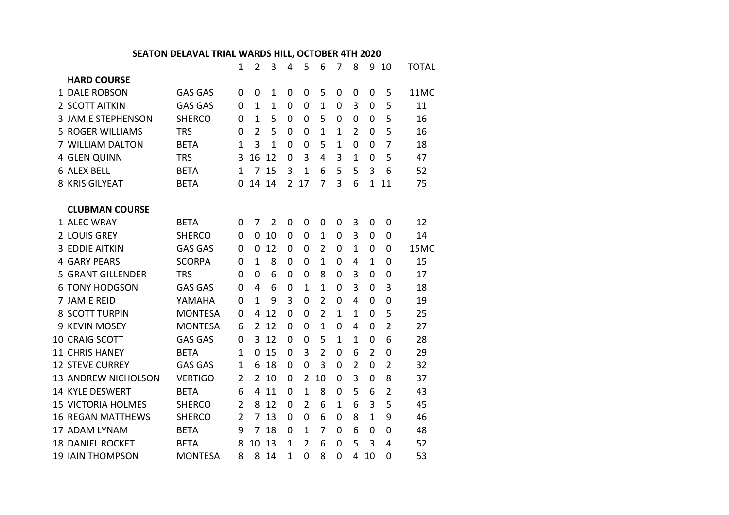## **SEATON DELAVAL TRIAL WARDS HILL, OCTOBER 4TH 2020**

|                            |                | 1              | $\overline{2}$ | 3              | 4              | 5              | 6              | 7            | 8              | 9              | 10             | <b>TOTAL</b> |
|----------------------------|----------------|----------------|----------------|----------------|----------------|----------------|----------------|--------------|----------------|----------------|----------------|--------------|
| <b>HARD COURSE</b>         |                |                |                |                |                |                |                |              |                |                |                |              |
| 1 DALE ROBSON              | <b>GAS GAS</b> | 0              | $\Omega$       | $\mathbf{1}$   | $\mathbf 0$    | 0              | 5              | 0            | 0              | 0              | 5              | 11MC         |
| 2 SCOTT AITKIN             | <b>GAS GAS</b> | 0              | $\mathbf{1}$   | 1              | $\overline{0}$ | 0              | 1              | 0            | 3              | 0              | 5              | 11           |
| <b>3 JAMIE STEPHENSON</b>  | <b>SHERCO</b>  | $\Omega$       | $\mathbf{1}$   | 5              | $\Omega$       | 0              | 5              | 0            | $\Omega$       | $\Omega$       | 5              | 16           |
| <b>5 ROGER WILLIAMS</b>    | <b>TRS</b>     | 0              | $\overline{2}$ | 5              | $\Omega$       | 0              | $\mathbf{1}$   | $\mathbf{1}$ | $\mathfrak{D}$ | $\Omega$       | 5              | 16           |
| 7 WILLIAM DALTON           | <b>BETA</b>    | 1              | 3              | $\mathbf{1}$   | $\mathbf 0$    | 0              | 5              | $\mathbf{1}$ | 0              | $\overline{0}$ | $\overline{7}$ | 18           |
| 4 GLEN QUINN               | <b>TRS</b>     | 3              | 16             | 12             | $\mathbf 0$    | 3              | 4              | 3            | $\mathbf{1}$   | $\overline{0}$ | 5              | 47           |
| <b>6 ALEX BELL</b>         | <b>BETA</b>    | 1              | $\overline{7}$ | 15             | 3              | $\mathbf{1}$   | 6              | 5            | 5              | 3              | 6              | 52           |
| 8 KRIS GILYEAT             | <b>BETA</b>    | 0              | 14             | 14             | $\overline{2}$ | 17             | 7              | 3            | 6              | $\mathbf{1}$   | 11             | 75           |
| <b>CLUBMAN COURSE</b>      |                |                |                |                |                |                |                |              |                |                |                |              |
| 1 ALEC WRAY                | <b>BETA</b>    | 0              | 7              | $\overline{2}$ | $\mathbf 0$    | $\overline{0}$ | 0              | 0            | 3              | 0              | $\Omega$       | 12           |
| 2 LOUIS GREY               | <b>SHERCO</b>  | 0              | 0              | 10             | $\overline{0}$ | 0              | 1              | 0            | 3              | 0              | 0              | 14           |
| 3 EDDIE AITKIN             | <b>GAS GAS</b> | 0              | $\overline{0}$ | 12             | 0              | 0              | $\overline{2}$ | 0            | $\mathbf{1}$   | 0              | 0              | 15MC         |
| <b>4 GARY PEARS</b>        | <b>SCORPA</b>  | 0              | $\mathbf{1}$   | 8              | 0              | $\Omega$       | $\mathbf{1}$   | 0            | 4              | 1              | 0              | 15           |
| <b>5 GRANT GILLENDER</b>   | <b>TRS</b>     | 0              | $\overline{0}$ | 6              | 0              | 0              | 8              | 0            | 3              | $\Omega$       | 0              | 17           |
| <b>6 TONY HODGSON</b>      | <b>GAS GAS</b> | 0              | 4              | 6              | 0              | 1              | $\mathbf{1}$   | 0            | 3              | $\Omega$       | 3              | 18           |
| 7 JAMIE REID               | YAMAHA         | 0              | $\mathbf{1}$   | 9              | 3              | 0              | $\overline{2}$ | 0            | 4              | $\Omega$       | 0              | 19           |
| 8 SCOTT TURPIN             | <b>MONTESA</b> | 0              | 4              | 12             | $\Omega$       | 0              | $\overline{2}$ | $\mathbf{1}$ | 1              | $\Omega$       | 5              | 25           |
| 9 KEVIN MOSEY              | <b>MONTESA</b> | 6              | $\overline{2}$ | 12             | $\overline{0}$ | 0              | $\mathbf{1}$   | 0            | 4              | $\overline{0}$ | $\overline{2}$ | 27           |
| 10 CRAIG SCOTT             | <b>GAS GAS</b> | 0              | 3              | 12             | $\overline{0}$ | 0              | 5              | $\mathbf{1}$ | $\mathbf{1}$   | 0              | 6              | 28           |
| 11 CHRIS HANEY             | <b>BETA</b>    | 1              | $\overline{0}$ | 15             | $\mathbf 0$    | 3              | $\overline{2}$ | 0            | 6              | $\overline{2}$ | 0              | 29           |
| <b>12 STEVE CURREY</b>     | <b>GAS GAS</b> | $\mathbf{1}$   | 6              | 18             | $\mathbf 0$    | $\overline{0}$ | 3              | 0            | $\overline{2}$ | $\overline{0}$ | $\overline{2}$ | 32           |
| <b>13 ANDREW NICHOLSON</b> | <b>VERTIGO</b> | $\overline{2}$ | $\overline{2}$ | 10             | $\overline{0}$ | $\overline{2}$ | 10             | 0            | 3              | $\overline{0}$ | 8              | 37           |
| 14 KYLE DESWERT            | <b>BETA</b>    | 6              | 4              | 11             | $\mathbf 0$    | 1              | 8              | 0            | 5              | 6              | $\overline{2}$ | 43           |
| <b>15 VICTORIA HOLMES</b>  | <b>SHERCO</b>  | $\overline{2}$ | 8              | 12             | 0              | $\overline{2}$ | 6              | $\mathbf{1}$ | 6              | 3              | 5              | 45           |
| <b>16 REGAN MATTHEWS</b>   | <b>SHERCO</b>  | $\overline{2}$ | 7              | 13             | 0              | $\Omega$       | 6              | 0            | 8              | $\mathbf{1}$   | 9              | 46           |
| 17 ADAM LYNAM              | <b>BETA</b>    | 9              | 7              | 18             | $\Omega$       | 1              | 7              | 0            | 6              | 0              | 0              | 48           |
| <b>18 DANIEL ROCKET</b>    | <b>BETA</b>    | 8              | 10             | 13             | $\mathbf{1}$   | $\overline{2}$ | 6              | 0            | 5              | 3              | 4              | 52           |
| <b>19 IAIN THOMPSON</b>    | <b>MONTESA</b> | 8              | 8              | 14             | 1              | $\mathbf 0$    | 8              | 0            | 4              | 10             | 0              | 53           |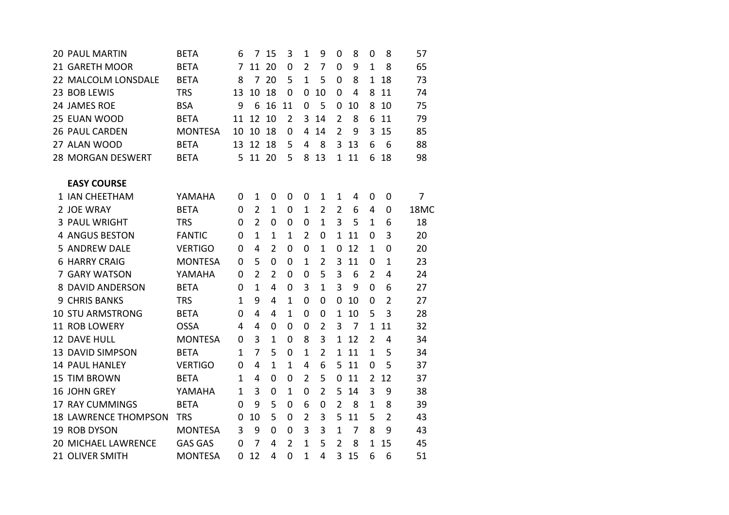| <b>20 PAUL MARTIN</b>       | <b>BETA</b>    | 6            | 7              | 15             | 3              | $\mathbf{1}$   | 9              | 0              | 8  | 0              | 8              | 57             |
|-----------------------------|----------------|--------------|----------------|----------------|----------------|----------------|----------------|----------------|----|----------------|----------------|----------------|
| 21 GARETH MOOR              | <b>BETA</b>    | 7            | 11             | 20             | 0              | $\overline{2}$ | 7              | 0              | 9  | 1              | 8              | 65             |
| 22 MALCOLM LONSDALE         | <b>BETA</b>    | 8            | 7              | 20             | 5              | $\mathbf{1}$   | 5              | $\overline{0}$ | 8  | $\mathbf{1}$   | 18             | 73             |
| 23 BOB LEWIS                | <b>TRS</b>     | 13           | 10             | 18             | $\mathbf 0$    | 0              | 10             | 0              | 4  | 8              | 11             | 74             |
| 24 JAMES ROE                | <b>BSA</b>     | 9            | 6              | 16             | 11             | 0              | 5              | 0              | 10 | 8              | 10             | 75             |
| 25 EUAN WOOD                | <b>BETA</b>    | 11           | 12             | 10             | $\overline{2}$ | 3              | 14             | $\overline{2}$ | 8  | 6              | 11             | 79             |
| <b>26 PAUL CARDEN</b>       | <b>MONTESA</b> | 10           | 10             | 18             | 0              | 4              | 14             | $\overline{2}$ | 9  | 3              | 15             | 85             |
| 27 ALAN WOOD                | <b>BETA</b>    | 13           | 12             | 18             | 5              | 4              | 8              | 3              | 13 | 6              | 6              | 88             |
| 28 MORGAN DESWERT           | <b>BETA</b>    | 5            |                | 11 20          | 5              | 8              | 13             | $\mathbf{1}$   | 11 | 6              | 18             | 98             |
| <b>EASY COURSE</b>          |                |              |                |                |                |                |                |                |    |                |                |                |
| 1 IAN CHEETHAM              | YAMAHA         | 0            | 1              | 0              | 0              | 0              | 1              | 1              | 4  | $\mathbf 0$    | 0              | $\overline{7}$ |
| 2 JOE WRAY                  | <b>BETA</b>    | 0            | $\overline{2}$ | 1              | $\overline{0}$ | 1              | $\overline{2}$ | $\overline{2}$ | 6  | 4              | 0              | 18MC           |
| 3 PAUL WRIGHT               | <b>TRS</b>     | 0            | $\overline{2}$ | 0              | $\Omega$       | 0              | $\mathbf{1}$   | 3              | 5  | $\mathbf{1}$   | 6              | 18             |
| <b>4 ANGUS BESTON</b>       | <b>FANTIC</b>  | 0            | $\mathbf{1}$   | $\mathbf{1}$   | $\mathbf{1}$   | $\overline{2}$ | 0              | 1              | 11 | $\overline{0}$ | 3              | 20             |
| 5 ANDREW DALE               | <b>VERTIGO</b> | 0            | 4              | $\overline{2}$ | $\overline{0}$ | 0              | 1              | 0              | 12 | $\mathbf{1}$   | $\mathbf 0$    | 20             |
| <b>6 HARRY CRAIG</b>        | <b>MONTESA</b> | 0            | 5              | <sup>0</sup>   | $\mathbf 0$    | $\mathbf{1}$   | $\overline{2}$ | 3              | 11 | $\Omega$       | $\mathbf{1}$   | 23             |
| 7 GARY WATSON               | YAMAHA         | 0            | $\overline{2}$ | $\overline{2}$ | 0              | 0              | 5              | 3              | 6  | $\overline{2}$ | 4              | 24             |
| 8 DAVID ANDERSON            | <b>BETA</b>    | 0            | 1              | 4              | $\mathbf 0$    | 3              | 1              | $\overline{3}$ | 9  | $\Omega$       | 6              | 27             |
| <b>9 CHRIS BANKS</b>        | <b>TRS</b>     | $\mathbf{1}$ | 9              | $\overline{4}$ | $\mathbf{1}$   | 0              | 0              | 0              | 10 | $\mathbf 0$    | $\overline{2}$ | 27             |
| <b>10 STU ARMSTRONG</b>     | <b>BETA</b>    | 0            | 4              | 4              | $\mathbf{1}$   | 0              | 0              | 1              | 10 | 5              | 3              | 28             |
| 11 ROB LOWERY               | <b>OSSA</b>    | 4            | 4              | 0              | $\overline{0}$ | 0              | $\overline{2}$ | 3              | 7  | $\mathbf{1}$   | 11             | 32             |
| 12 DAVE HULL                | <b>MONTESA</b> | 0            | 3              | $\mathbf{1}$   | $\mathbf 0$    | 8              | 3              | $\mathbf{1}$   | 12 | $\overline{2}$ | 4              | 34             |
| 13 DAVID SIMPSON            | <b>BETA</b>    | 1            | 7              | 5              | $\mathbf 0$    | 1              | $\overline{2}$ | 1              | 11 | $\mathbf{1}$   | 5              | 34             |
| <b>14 PAUL HANLEY</b>       | <b>VERTIGO</b> | 0            | 4              | $\mathbf{1}$   | 1              | 4              | 6              | 5              | 11 | 0              | 5              | 37             |
| <b>15 TIM BROWN</b>         | <b>BETA</b>    | $\mathbf{1}$ | 4              | $\Omega$       | $\overline{0}$ | $\overline{2}$ | 5              | $\overline{0}$ | 11 | $\overline{2}$ | 12             | 37             |
| 16 JOHN GREY                | YAMAHA         | 1            | 3              | 0              | 1              | 0              | 2              | 5              | 14 | 3              | 9              | 38             |
| <b>17 RAY CUMMINGS</b>      | <b>BETA</b>    | 0            | 9              | 5              | 0              | 6              | 0              | $\overline{2}$ | 8  | $\mathbf{1}$   | 8              | 39             |
| <b>18 LAWRENCE THOMPSON</b> | <b>TRS</b>     | $\mathbf 0$  | 10             | 5              | $\overline{0}$ | $\overline{2}$ | 3              | 5              | 11 | 5              | $\overline{2}$ | 43             |
| 19 ROB DYSON                | <b>MONTESA</b> | 3            | 9              | 0              | $\mathbf 0$    | 3              | 3              | $\mathbf{1}$   | 7  | 8              | 9              | 43             |
| 20 MICHAEL LAWRENCE         | <b>GAS GAS</b> | 0            | 7              | 4              | $\overline{2}$ | $\mathbf{1}$   | 5              | $\overline{2}$ | 8  | $\mathbf{1}$   | 15             | 45             |
| 21 OLIVER SMITH             | <b>MONTESA</b> | 0            | 12             | 4              | $\overline{0}$ | 1              | 4              | 3              | 15 | 6              | 6              | 51             |